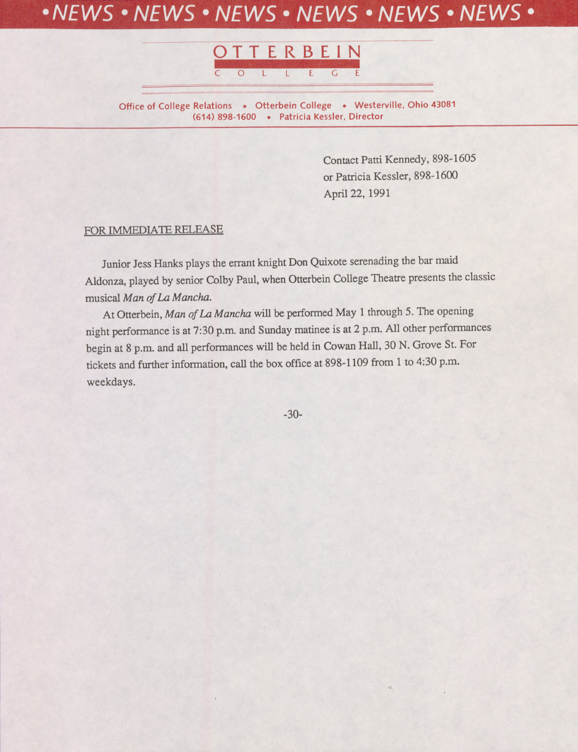## *NEWS • NEWS • NEWS* **•** *NEWS • NEWS* **•** *NEWS* **•**



**Office of College Relations • Otterbein College • Westerville, Ohio 43081 (614) 898-1600 • Patricia Kessler, Director**

> Contact Patti Kennedy, 898-1605 or Patricia Kessler, 898-1600 April 22, 1991

#### FOR IMMEDIATE RELEASE

Junior Jess Hanks plays the errant knight Don Quixote serenading the bar maid Aldonza, played by senior Colby Paul, when Otterbein CoUege Theatre presents the classic musical *Man ofLa Mancha.*

At Otterbein, *Man ofLa Mancha* wiU be performed May <sup>1</sup> through 5. The opening night performance is at 7:30 p.m. and Sunday matinee is at 2 p.m. All other performances begin at 8 p.m. and all performances wiU be held in Cowan Hall, 30 N. Grove St. For tickets and further information, call the box office at 898-1109 from <sup>1</sup> to 4:30 p.m. weekdays.

-**30**-